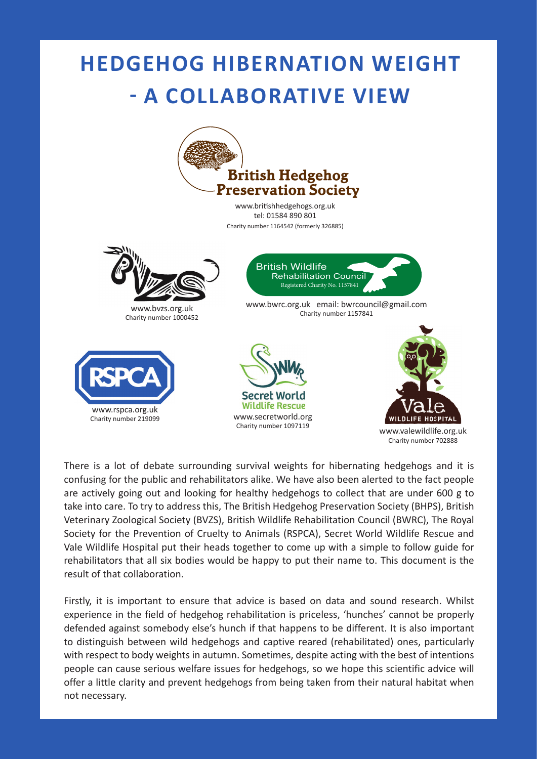## **HEDGEHOG HIBERNATION WEIGHT - A COLLABORATIVE VIEW**



There is a lot of debate surrounding survival weights for hibernating hedgehogs and it is confusing for the public and rehabilitators alike. We have also been alerted to the fact people are actively going out and looking for healthy hedgehogs to collect that are under 600 g to take into care. To try to address this, The British Hedgehog Preservation Society (BHPS), British Veterinary Zoological Society (BVZS), British Wildlife Rehabilitation Council (BWRC), The Royal Society for the Prevention of Cruelty to Animals (RSPCA), Secret World Wildlife Rescue and Vale Wildlife Hospital put their heads together to come up with a simple to follow guide for rehabilitators that all six bodies would be happy to put their name to. This document is the result of that collaboration.

Firstly, it is important to ensure that advice is based on data and sound research. Whilst experience in the field of hedgehog rehabilitation is priceless, 'hunches' cannot be properly defended against somebody else's hunch if that happens to be different. It is also important to distinguish between wild hedgehogs and captive reared (rehabilitated) ones, particularly with respect to body weights in autumn. Sometimes, despite acting with the best of intentions people can cause serious welfare issues for hedgehogs, so we hope this scientific advice will offer a little clarity and prevent hedgehogs from being taken from their natural habitat when not necessary.